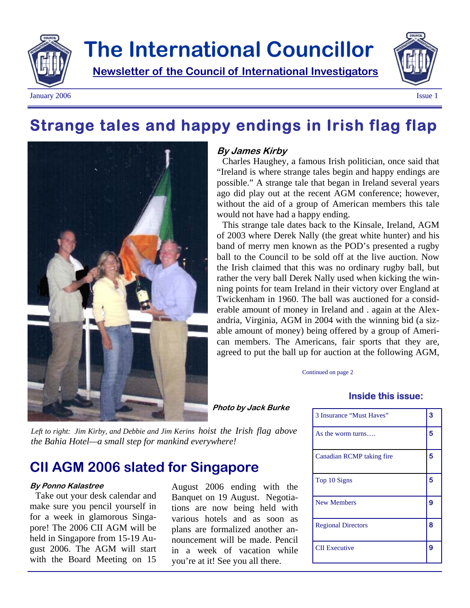

# **The International Councillor**

**Newsletter of the Council of International Investigators**





### **Strange tales and happy endings in Irish flag flap**



#### **By James Kirby**

Charles Haughey, a famous Irish politician, once said that "Ireland is where strange tales begin and happy endings are possible." A strange tale that began in Ireland several years ago did play out at the recent AGM conference; however, without the aid of a group of American members this tale would not have had a happy ending.

This strange tale dates back to the Kinsale, Ireland, AGM of 2003 where Derek Nally (the great white hunter) and his band of merry men known as the POD's presented a rugby ball to the Council to be sold off at the live auction. Now the Irish claimed that this was no ordinary rugby ball, but rather the very ball Derek Nally used when kicking the winning points for team Ireland in their victory over England at Twickenham in 1960. The ball was auctioned for a considerable amount of money in Ireland and . again at the Alexandria, Virginia, AGM in 2004 with the winning bid (a sizable amount of money) being offered by a group of American members. The Americans, fair sports that they are, agreed to put the ball up for auction at the following AGM,

Continued on page 2

#### **Inside this issue:**

3 Insurance "Must Haves" **3**  As the worm turns…. **5** 

| Canadian RCMP taking fire | 5 |
|---------------------------|---|
| Top 10 Signs              | 5 |
| <b>New Members</b>        | 9 |
| <b>Regional Directors</b> | 8 |
| <b>CII Executive</b>      | 9 |

*Left to right: Jim Kirby, and Debbie and Jim Kerins hoist the Irish flag above the Bahia Hotel—a small step for mankind everywhere!*

### **CII AGM 2006 slated for Singapore**

#### **By Ponno Kalastree**

Take out your desk calendar and make sure you pencil yourself in for a week in glamorous Singapore! The 2006 CII AGM will be held in Singapore from 15-19 August 2006. The AGM will start with the Board Meeting on 15

August 2006 ending with the Banquet on 19 August. Negotiations are now being held with various hotels and as soon as plans are formalized another announcement will be made. Pencil in a week of vacation while you're at it! See you all there.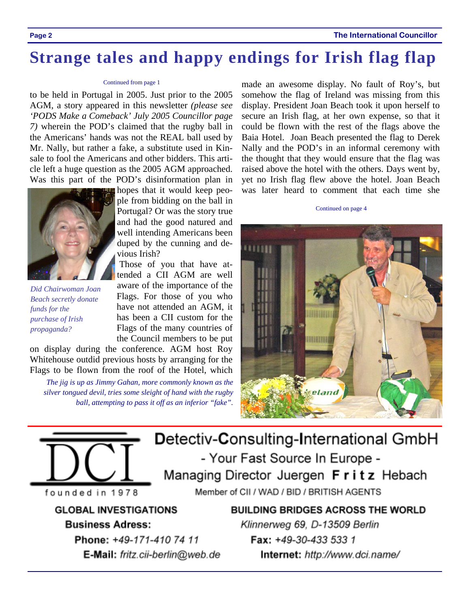### **Strange tales and happy endings for Irish flag flap**

#### Continued from page 1

to be held in Portugal in 2005. Just prior to the 2005 AGM, a story appeared in this newsletter *(please see 'PODS Make a Comeback' July 2005 Councillor page 7)* wherein the POD's claimed that the rugby ball in the Americans' hands was not the REAL ball used by Mr. Nally, but rather a fake, a substitute used in Kinsale to fool the Americans and other bidders. This article left a huge question as the 2005 AGM approached. Was this part of the POD's disinformation plan in



*Did Chairwoman Joan Beach secretly donate funds for the purchase of Irish propaganda?* 

hopes that it would keep people from bidding on the ball in Portugal? Or was the story true and had the good natured and well intending Americans been duped by the cunning and devious Irish?

 Those of you that have attended a CII AGM are well aware of the importance of the Flags. For those of you who have not attended an AGM, it has been a CII custom for the Flags of the many countries of the Council members to be put

on display during the conference. AGM host Roy Whitehouse outdid previous hosts by arranging for the Flags to be flown from the roof of the Hotel, which

*The jig is up as Jimmy Gahan, more commonly known as the silver tongued devil, tries some sleight of hand with the rugby ball, attempting to pass it off as an inferior "fake".* 

made an awesome display. No fault of Roy's, but somehow the flag of Ireland was missing from this display. President Joan Beach took it upon herself to secure an Irish flag, at her own expense, so that it could be flown with the rest of the flags above the Baia Hotel. Joan Beach presented the flag to Derek Nally and the POD's in an informal ceremony with the thought that they would ensure that the flag was raised above the hotel with the others. Days went by, yet no Irish flag flew above the hotel. Joan Beach was later heard to comment that each time she

Continued on page 4



Detectiv-Consulting-International GmbH - Your Fast Source In Europe -Managing Director Juergen Fritz Hebach Member of CII / WAD / BID / BRITISH AGENTS

**GLOBAL INVESTIGATIONS** 

founded in 1978

### **Business Adress:**

Phone: +49-171-410 74 11 E-Mail: fritz.cii-berlin@web.de **BUILDING BRIDGES ACROSS THE WORLD** Klinnerweg 69, D-13509 Berlin Fax: +49-30-433 533 1 Internet: http://www.dci.name/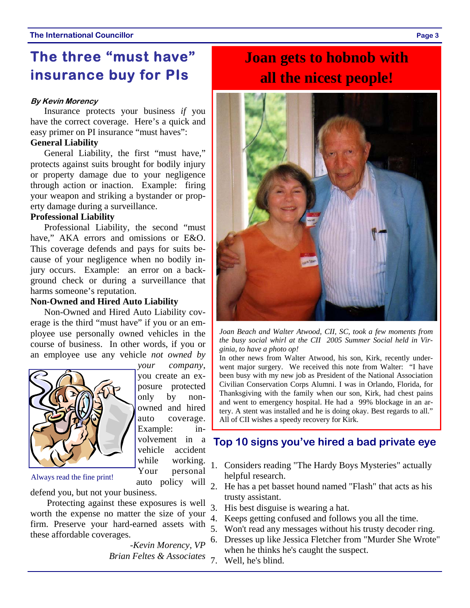### **The three "must have" insurance buy for PIs**

#### **By Kevin Morency**

Insurance protects your business *if* you have the correct coverage. Here's a quick and easy primer on PI insurance "must haves":

#### **General Liability**

General Liability, the first "must have," protects against suits brought for bodily injury or property damage due to your negligence through action or inaction. Example: firing your weapon and striking a bystander or property damage during a surveillance.

### **Professional Liability**

Professional Liability, the second "must have," AKA errors and omissions or E&O. This coverage defends and pays for suits because of your negligence when no bodily injury occurs. Example: an error on a background check or during a surveillance that harms someone's reputation.

#### **Non-Owned and Hired Auto Liability**

Non-Owned and Hired Auto Liability coverage is the third "must have" if you or an employee use personally owned vehicles in the course of business. In other words, if you or an employee use any vehicle *not owned by* 



*your company*, you create an exposure protected only by nonowned and hired auto coverage. Example: involvement in a vehicle accident while working. Your personal

Always read the fine print!

defend you, but not your business.

Protecting against these exposures is well worth the expense no matter the size of your firm. Preserve your hard-earned assets with these affordable coverages.

 *-Kevin Morency, VP Brian Feltes & Associates* 7. Well, he's blind.

## **Joan gets to hobnob with all the nicest people!**



*Joan Beach and Walter Atwood, CII, SC, took a few moments from the busy social whirl at the CII 2005 Summer Social held in Virginia, to have a photo op!* 

In other news from Walter Atwood, his son, Kirk, recently underwent major surgery. We received this note from Walter: "I have been busy with my new job as President of the National Association Civilian Conservation Corps Alumni. I was in Orlando, Florida, for Thanksgiving with the family when our son, Kirk, had chest pains and went to emergency hospital. He had a 99% blockage in an artery. A stent was installed and he is doing okay. Best regards to all." All of CII wishes a speedy recovery for Kirk.

### **Top 10 signs you've hired a bad private eye**

- 1. Considers reading "The Hardy Boys Mysteries" actually helpful research.
- auto policy will 2. He has a pet basset hound named "Flash" that acts as his trusty assistant.
	- 3. His best disguise is wearing a hat.
	- 4. Keeps getting confused and follows you all the time.
	- 5. Won't read any messages without his trusty decoder ring.
	- 6. Dresses up like Jessica Fletcher from "Murder She Wrote" when he thinks he's caught the suspect.
	-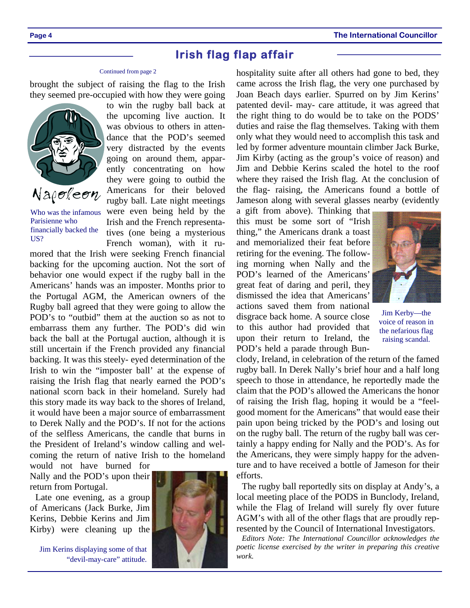### **Irish flag flap affair**

#### Continued from page 2

brought the subject of raising the flag to the Irish they seemed pre-occupied with how they were going



Who was the infamous Parisienne who financially backed the US?

to win the rugby ball back at the upcoming live auction. It was obvious to others in attendance that the POD's seemed very distracted by the events going on around them, apparently concentrating on how they were going to outbid the Americans for their beloved rugby ball. Late night meetings were even being held by the Irish and the French representatives (one being a mysterious French woman), with it ru-

mored that the Irish were seeking French financial backing for the upcoming auction. Not the sort of behavior one would expect if the rugby ball in the Americans' hands was an imposter. Months prior to the Portugal AGM, the American owners of the Rugby ball agreed that they were going to allow the POD's to "outbid" them at the auction so as not to embarrass them any further. The POD's did win back the ball at the Portugal auction, although it is still uncertain if the French provided any financial backing. It was this steely- eyed determination of the Irish to win the "imposter ball' at the expense of raising the Irish flag that nearly earned the POD's national scorn back in their homeland. Surely had this story made its way back to the shores of Ireland, it would have been a major source of embarrassment to Derek Nally and the POD's. If not for the actions of the selfless Americans, the candle that burns in the President of Ireland's window calling and welcoming the return of native Irish to the homeland

would not have burned for Nally and the POD's upon their return from Portugal.

Late one evening, as a group of Americans (Jack Burke, Jim Kerins, Debbie Kerins and Jim Kirby) were cleaning up the

Jim Kerins displaying some of that "devil-may-care" attitude.



hospitality suite after all others had gone to bed, they came across the Irish flag, the very one purchased by Joan Beach days earlier. Spurred on by Jim Kerins' patented devil- may- care attitude, it was agreed that the right thing to do would be to take on the PODS' duties and raise the flag themselves. Taking with them only what they would need to accomplish this task and led by former adventure mountain climber Jack Burke, Jim Kirby (acting as the group's voice of reason) and Jim and Debbie Kerins scaled the hotel to the roof where they raised the Irish flag. At the conclusion of the flag- raising, the Americans found a bottle of Jameson along with several glasses nearby (evidently

a gift from above). Thinking that this must be some sort of "Irish thing," the Americans drank a toast and memorialized their feat before retiring for the evening. The following morning when Nally and the POD's learned of the Americans' great feat of daring and peril, they dismissed the idea that Americans' actions saved them from national disgrace back home. A source close to this author had provided that upon their return to Ireland, the POD's held a parade through Bun-



Jim Kerby—the voice of reason in the nefarious flag raising scandal.

clody, Ireland, in celebration of the return of the famed rugby ball. In Derek Nally's brief hour and a half long speech to those in attendance, he reportedly made the claim that the POD's allowed the Americans the honor of raising the Irish flag, hoping it would be a "feelgood moment for the Americans" that would ease their pain upon being tricked by the POD's and losing out on the rugby ball. The return of the rugby ball was certainly a happy ending for Nally and the POD's. As for the Americans, they were simply happy for the adventure and to have received a bottle of Jameson for their efforts.

The rugby ball reportedly sits on display at Andy's, a local meeting place of the PODS in Bunclody, Ireland, while the Flag of Ireland will surely fly over future AGM's with all of the other flags that are proudly represented by the Council of International Investigators.

*Editors Note: The International Councillor acknowledges the poetic license exercised by the writer in preparing this creative work.*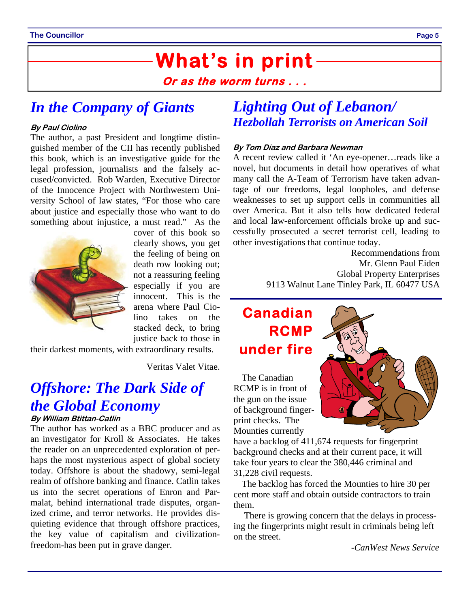# **What's in print**

**Or as the worm turns . . .** 

### *In the Company of Giants*

#### **By Paul Ciolino**

The author, a past President and longtime distinguished member of the CII has recently published this book, which is an investigative guide for the legal profession, journalists and the falsely accused/convicted. Rob Warden, Executive Director of the Innocence Project with Northwestern University School of law states, "For those who care about justice and especially those who want to do something about injustice, a must read." As the



cover of this book so clearly shows, you get the feeling of being on death row looking out; not a reassuring feeling especially if you are innocent. This is the arena where Paul Ciolino takes on the stacked deck, to bring justice back to those in

their darkest moments, with extraordinary results.

Veritas Valet Vitae.

### *Offshore: The Dark Side of the Global Economy*

#### **By William Btittan-Catlin**

The author has worked as a BBC producer and as an investigator for Kroll & Associates. He takes the reader on an unprecedented exploration of perhaps the most mysterious aspect of global society today. Offshore is about the shadowy, semi-legal realm of offshore banking and finance. Catlin takes us into the secret operations of Enron and Parmalat, behind international trade disputes, organized crime, and terror networks. He provides disquieting evidence that through offshore practices, the key value of capitalism and civilizationfreedom-has been put in grave danger.

### *Lighting Out of Lebanon/ Hezbollah Terrorists on American Soil*

#### **By Tom Diaz and Barbara Newman**

A recent review called it 'An eye-opener…reads like a novel, but documents in detail how operatives of what many call the A-Team of Terrorism have taken advantage of our freedoms, legal loopholes, and defense weaknesses to set up support cells in communities all over America. But it also tells how dedicated federal and local law-enforcement officials broke up and successfully prosecuted a secret terrorist cell, leading to other investigations that continue today.

> Recommendations from Mr. Glenn Paul Eiden Global Property Enterprises 9113 Walnut Lane Tinley Park, IL 60477 USA

### **Canadian RCMP under fire**

The Canadian RCMP is in front of the gun on the issue of background fingerprint checks. The Mounties currently



have a backlog of 411,674 requests for fingerprint background checks and at their current pace, it will take four years to clear the 380,446 criminal and 31,228 civil requests.

The backlog has forced the Mounties to hire 30 per cent more staff and obtain outside contractors to train them.

 There is growing concern that the delays in processing the fingerprints might result in criminals being left on the street.

*-CanWest News Service*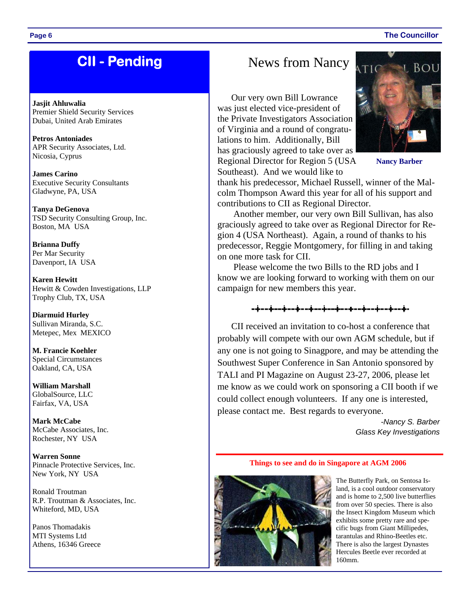### **CII - Pending**

**Jasjit Ahluwalia**  Premier Shield Security Services Dubai, United Arab Emirates

**Petros Antoniades**  APR Security Associates, Ltd. Nicosia, Cyprus

**James Carino**  Executive Security Consultants Gladwyne, PA, USA

**Tanya DeGenova** TSD Security Consulting Group, Inc. Boston, MA USA

**Brianna Duffy** Per Mar Security Davenport, IA USA

**Karen Hewitt**  Hewitt & Cowden Investigations, LLP Trophy Club, TX, USA

**Diarmuid Hurley** Sullivan Miranda, S.C. Metepec, Mex MEXICO

**M. Francie Koehler**  Special Circumstances Oakland, CA, USA

**William Marshall**  GlobalSource, LLC Fairfax, VA, USA

**Mark McCabe** McCabe Associates, Inc. Rochester, NY USA

**Warren Sonne** Pinnacle Protective Services, Inc. New York, NY USA

Ronald Troutman R.P. Troutman & Associates, Inc. Whiteford, MD, USA

Panos Thomadakis MTI Systems Ltd Athens, 16346 Greece

### News from Nancy

Our very own Bill Lowrance was just elected vice-president of the Private Investigators Association of Virginia and a round of congratulations to him. Additionally, Bill has graciously agreed to take over as Regional Director for Region 5 (USA Southeast). And we would like to



**Nancy Barber** 

thank his predecessor, Michael Russell, winner of the Malcolm Thompson Award this year for all of his support and contributions to CII as Regional Director.

 Another member, our very own Bill Sullivan, has also graciously agreed to take over as Regional Director for Region 4 (USA Northeast). Again, a round of thanks to his predecessor, Reggie Montgomery, for filling in and taking on one more task for CII.

Please welcome the two Bills to the RD jobs and I know we are looking forward to working with them on our campaign for new members this year.



CII received an invitation to co-host a conference that probably will compete with our own AGM schedule, but if any one is not going to Sinagpore, and may be attending the Southwest Super Conference in San Antonio sponsored by TALI and PI Magazine on August 23-27, 2006, please let me know as we could work on sponsoring a CII booth if we could collect enough volunteers. If any one is interested, please contact me. Best regards to everyone.

> *-Nancy S. Barber Glass Key Investigations*

#### **Things to see and do in Singapore at AGM 2006**



The Butterfly Park, on Sentosa Island, is a cool outdoor conservatory and is home to 2,500 live butterflies from over 50 species. There is also the Insect Kingdom Museum which exhibits some pretty rare and specific bugs from Giant Millipedes, tarantulas and Rhino-Beetles etc. There is also the largest Dynastes Hercules Beetle ever recorded at 160mm.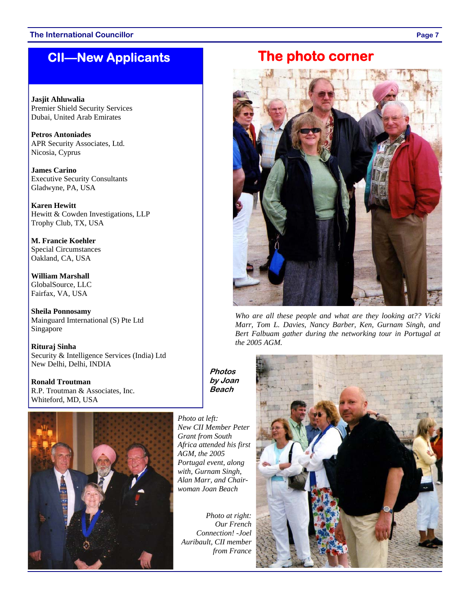### **CII—New Applicants**

**Jasjit Ahluwalia**  Premier Shield Security Services Dubai, United Arab Emirates

**Petros Antoniades**  APR Security Associates, Ltd. Nicosia, Cyprus

**James Carino**  Executive Security Consultants Gladwyne, PA, USA

**Karen Hewitt**  Hewitt & Cowden Investigations, LLP Trophy Club, TX, USA

**M. Francie Koehler**  Special Circumstances Oakland, CA, USA

**William Marshall**  GlobalSource, LLC Fairfax, VA, USA

**Sheila Ponnosamy**  Mainguard Imternational (S) Pte Ltd Singapore

**Rituraj Sinha**  Security & Intelligence Services (India) Ltd New Delhi, Delhi, INDIA

**Ronald Troutman**  R.P. Troutman & Associates, Inc. Whiteford, MD, USA



*Photo at left: New CII Member Peter Grant from South Africa attended his first AGM, the 2005 Portugal event, along with, Gurnam Singh, Alan Marr, and Chairwoman Joan Beach* 

**Photos by Joan Beach** 

*Photo at right: Our French Connection! -Joel Auribault, CII member from France* 

### **The photo corner**



*Who are all these people and what are they looking at?? Vicki Marr, Tom L. Davies, Nancy Barber, Ken, Gurnam Singh, and Bert Falbuam gather during the networking tour in Portugal at the 2005 AGM.* 

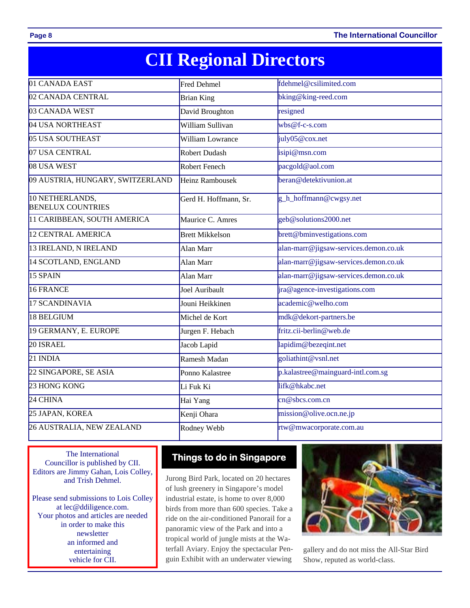**Page 8 The International Councillor** 

# **CII Regional Directors**

| 01 CANADA EAST                              | <b>Fred Dehmel</b>     | fdehmel@csilimited.com                |
|---------------------------------------------|------------------------|---------------------------------------|
| 02 CANADA CENTRAL                           | <b>Brian King</b>      | bking@king-reed.com                   |
| 03 CANADA WEST                              | David Broughton        | resigned                              |
| 04 USA NORTHEAST                            | William Sullivan       | $wbs@f-c-s.com$                       |
| 05 USA SOUTHEAST                            | William Lowrance       | july05@cox.net                        |
| 07 USA CENTRAL                              | <b>Robert Dudash</b>   | isipi@msn.com                         |
| 08 USA WEST                                 | Robert Fenech          | pacgold@aol.com                       |
| 09 AUSTRIA, HUNGARY, SWITZERLAND            | <b>Heinz Rambousek</b> | beran@detektivunion.at                |
| 10 NETHERLANDS,<br><b>BENELUX COUNTRIES</b> | Gerd H. Hoffmann, Sr.  | g_h_hoffmann@cwgsy.net                |
| 11 CARIBBEAN, SOUTH AMERICA                 | Maurice C. Amres       | geb@solutions2000.net                 |
| <b>12 CENTRAL AMERICA</b>                   | <b>Brett Mikkelson</b> | brett@bminvestigations.com            |
| 13 IRELAND, N IRELAND                       | Alan Marr              | alan-marr@jigsaw-services.demon.co.uk |
| 14 SCOTLAND, ENGLAND                        | Alan Marr              | alan-marr@jigsaw-services.demon.co.uk |
| 15 SPAIN                                    | Alan Marr              | alan-marr@jigsaw-services.demon.co.uk |
| 16 FRANCE                                   | Joel Auribault         | ira@agence-investigations.com         |
| <b>17 SCANDINAVIA</b>                       | Jouni Heikkinen        | academic@welho.com                    |
| 18 BELGIUM                                  | Michel de Kort         | mdk@dekort-partners.be                |
| 19 GERMANY, E. EUROPE                       | Jurgen F. Hebach       | fritz.cii-berlin@web.de               |
| 20 ISRAEL                                   | Jacob Lapid            | lapidim@bezeqint.net                  |
| $21$ INDIA                                  | Ramesh Madan           | goliathint@vsnl.net                   |
| 22 SINGAPORE, SE ASIA                       | Ponno Kalastree        | p.kalastree@mainguard-intl.com.sg     |
| 23 HONG KONG                                | Li Fuk Ki              | lifk@hkabc.net                        |
| 24 CHINA                                    | Hai Yang               | cn@sbcs.com cn                        |
| 25 JAPAN, KOREA                             | Kenji Ohara            | mission@olive.ocn.ne.jp               |
| 26 AUSTRALIA, NEW ZEALAND                   | Rodney Webb            | rtw@mwacorporate.com.au               |

The International Councillor is published by CII. Editors are Jimmy Gahan, Lois Colley, and Trish Dehmel.

Please send submissions to Lois Colley at lec@ddiligence.com. Your photos and articles are needed in order to make this newsletter an informed and entertaining vehicle for CII.

### **Things to do in Singapore**

Jurong Bird Park, located on 20 hectares of lush greenery in Singapore's model industrial estate, is home to over 8,000 birds from more than 600 species. Take a ride on the air-conditioned Panorail for a panoramic view of the Park and into a tropical world of jungle mists at the Waterfall Aviary. Enjoy the spectacular Penguin Exhibit with an underwater viewing



gallery and do not miss the All-Star Bird Show, reputed as world-class.